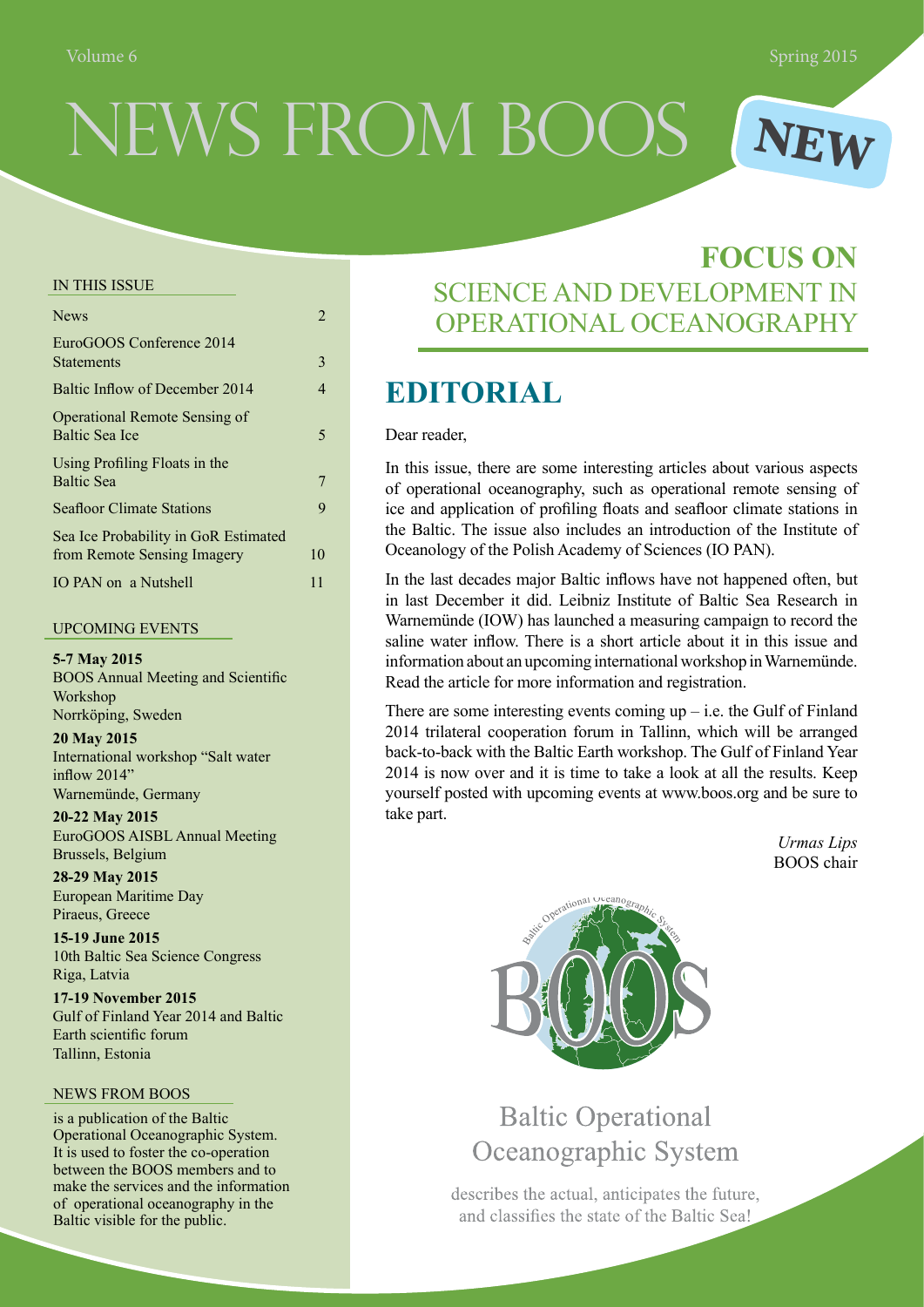# NEWS FROM BOOS **NEW**

#### In This Issue

| <b>News</b>                                                         | 2  |
|---------------------------------------------------------------------|----|
| EuroGOOS Conference 2014<br><b>Statements</b>                       | 3  |
| Baltic Inflow of December 2014                                      | 4  |
| <b>Operational Remote Sensing of</b><br>Baltic Sea Ice              | 5  |
| Using Profiling Floats in the<br><b>Baltic Sea</b>                  |    |
| <b>Seafloor Climate Stations</b>                                    | 9  |
| Sea Ice Probability in GoR Estimated<br>from Remote Sensing Imagery | 10 |
| IO PAN on a Nutshell                                                | 11 |

#### Upcoming Events

**5-7 May 2015** BOOS Annual Meeting and Scientific Workshop Norrköping, Sweden

**20 May 2015** International workshop "Salt water inflow 2014" Warnemünde, Germany

**20-22 May 2015** EuroGOOS AISBL Annual Meeting Brussels, Belgium

**28-29 May 2015** European Maritime Day Piraeus, Greece

**15-19 June 2015** 10th Baltic Sea Science Congress Riga, Latvia

**17-19 November 2015** Gulf of Finland Year 2014 and Baltic Earth scientific forum Tallinn, Estonia

#### NEWS FROM BOOS

is a publication of the Baltic Operational Oceanographic System. It is used to foster the co-operation between the BOOS members and to make the services and the information of operational oceanography in the Baltic visible for the public.

### **FOCUS ON** SCIENCE AND DEVELOPMENT IN OPERATIONAL OCEANOGRAPHY

### **Editorial**

#### Dear reader,

In this issue, there are some interesting articles about various aspects of operational oceanography, such as operational remote sensing of ice and application of profiling floats and seafloor climate stations in the Baltic. The issue also includes an introduction of the Institute of Oceanology of the Polish Academy of Sciences (IO PAN).

In the last decades major Baltic inflows have not happened often, but in last December it did. Leibniz Institute of Baltic Sea Research in Warnemünde (IOW) has launched a measuring campaign to record the saline water inflow. There is a short article about it in this issue and information about an upcoming international workshop in Warnemünde. Read the article for more information and registration.

There are some interesting events coming  $up$  – i.e. the Gulf of Finland 2014 trilateral cooperation forum in Tallinn, which will be arranged back-to-back with the Baltic Earth workshop. The Gulf of Finland Year 2014 is now over and it is time to take a look at all the results. Keep yourself posted with upcoming events at www.boos.org and be sure to take part.

> *Urmas Lips* BOOS chair



### **Baltic Operational** Oceanographic System

describes the actual, anticipates the future, and classifies the state of the Baltic Sea!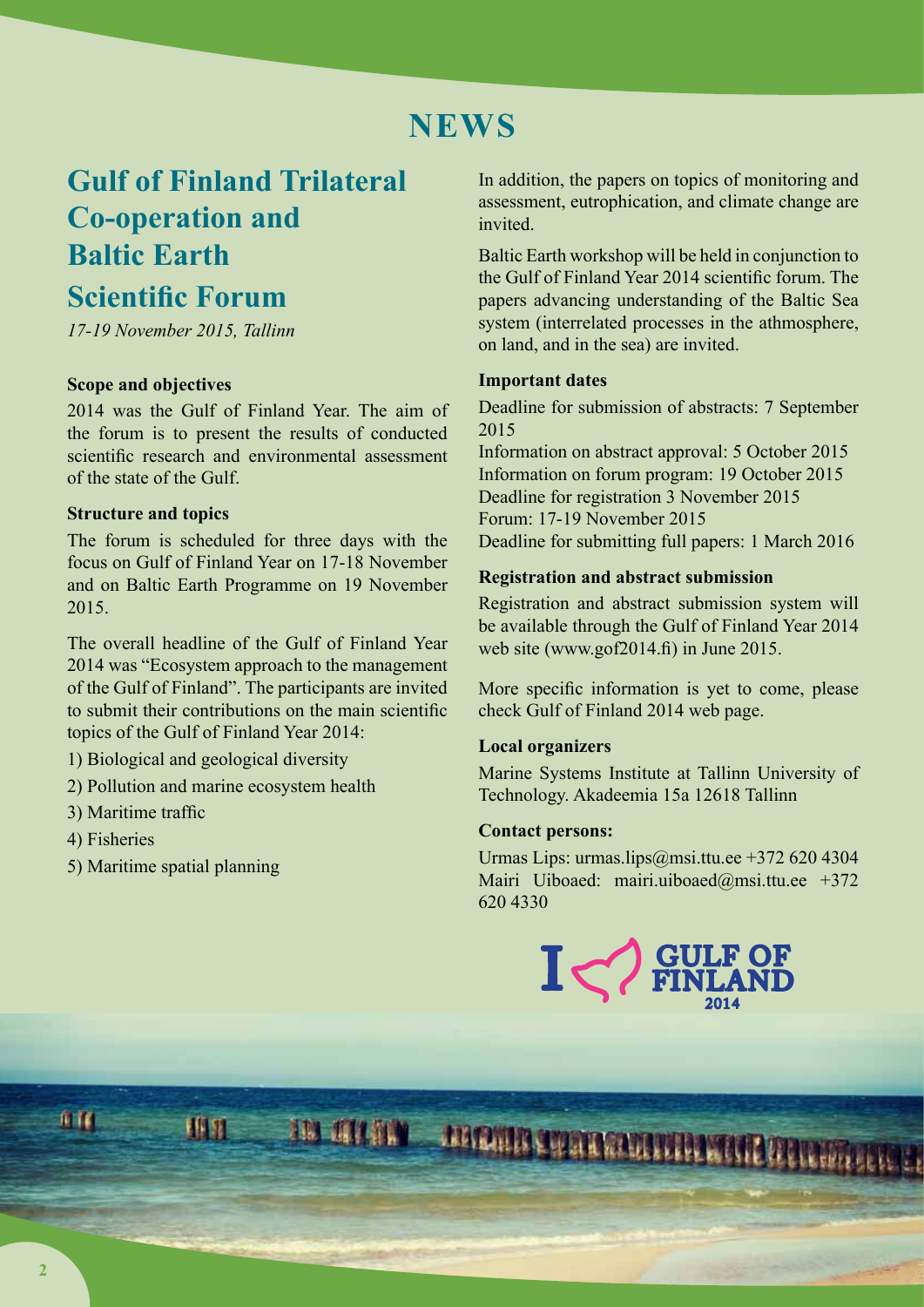### **NEWS**

## **Gulf of Finland Trilateral Co-operation and Baltic Earth**

### **Scientific Forum**

*17-19 November 2015, Tallinn* 

#### **Scope and objectives**

2014 was the Gulf of Finland Year. The aim of the forum is to present the results of conducted scientific research and environmental assessment of the state of the Gulf.

#### **Structure and topics**

The forum is scheduled for three days with the focus on Gulf of Finland Year on 17-18 November and on Baltic Earth Programme on 19 November 2015.

The overall headline of the Gulf of Finland Year 2014 was "Ecosystem approach to the management of the Gulf of Finland". The participants are invited to submit their contributions on the main scientific topics of the Gulf of Finland Year 2014:

1) Biological and geological diversity

排斥

- 2) Pollution and marine ecosystem health
- 3) Maritime traffic
- 4) Fisheries
- 5) Maritime spatial planning

In addition, the papers on topics of monitoring and assessment, eutrophication, and climate change are invited.

Baltic Earth workshop will be held in conjunction to the Gulf of Finland Year 2014 scientific forum. The papers advancing understanding of the Baltic Sea system (interrelated processes in the athmosphere, on land, and in the sea) are invited.

#### **Important dates**

Deadline for submission of abstracts: 7 September 2015

Information on abstract approval: 5 October 2015 Information on forum program: 19 October 2015 Deadline for registration 3 November 2015 Forum: 17-19 November 2015 Deadline for submitting full papers: 1 March 2016

#### **Registration and abstract submission**

Registration and abstract submission system will be available through the Gulf of Finland Year 2014 web site (www.gof2014.fi) in June 2015.

More specific information is yet to come, please check Gulf of Finland 2014 web page.

#### **Local organizers**

Marine Systems Institute at Tallinn University of Technology. Akadeemia 15a 12618 Tallinn

#### **Contact persons:**

Urmas Lips: urmas.lips@msi.ttu.ee +372 620 4304 Mairi Uiboaed: mairi.uiboaed@msi.ttu.ee +372 620 4330



TE CITION ABIONE CHARACTERISTIC CRANIC

麻麻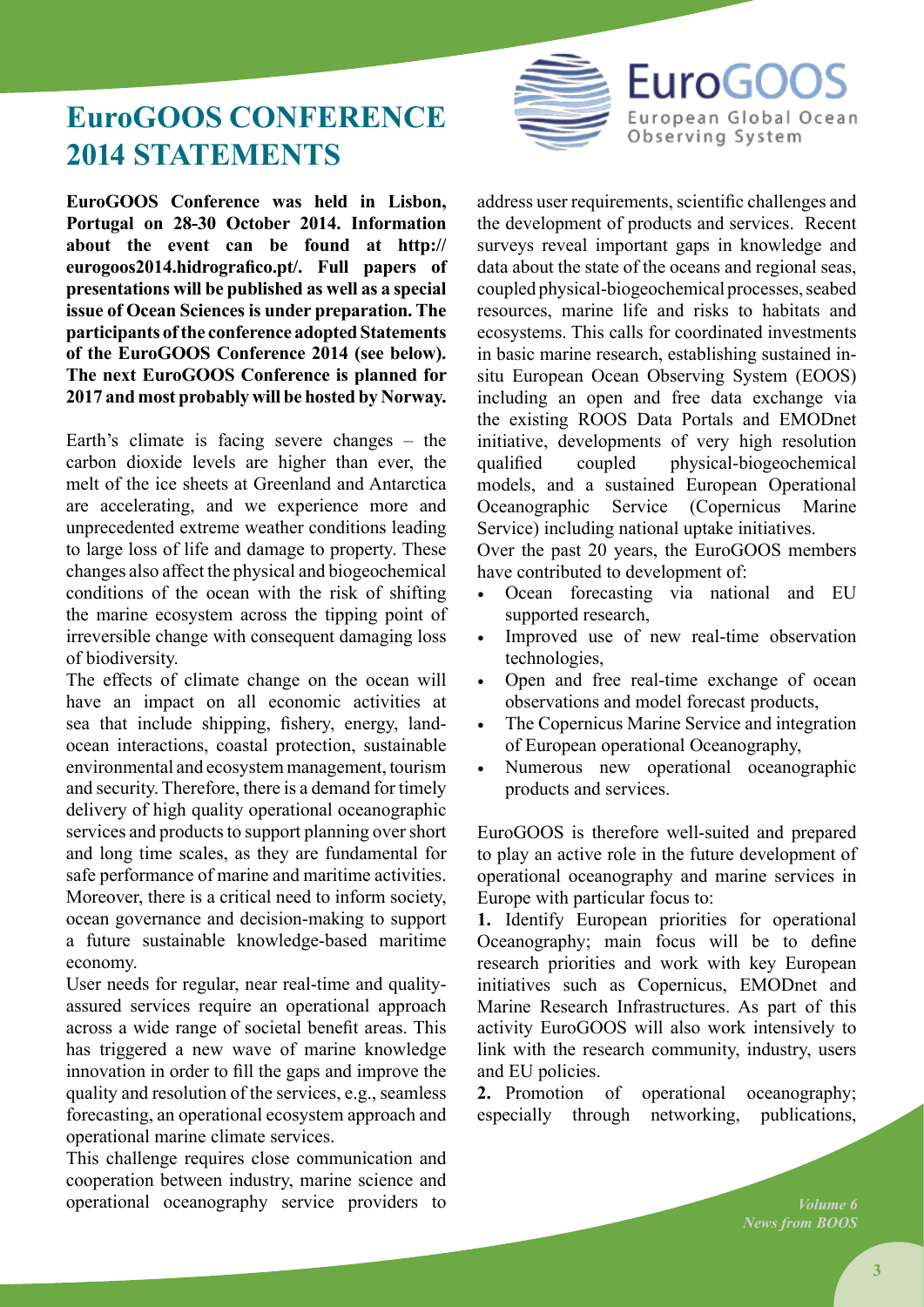

### **EuroGOOS Conference 2014 STATEMENTS**

**EuroGOOS Conference was held in Lisbon, Portugal on 28-30 October 2014. Information about the event can be found at http:// eurogoos2014.hidrografico.pt/. Full papers of presentations will be published as well as a special issue of Ocean Sciences is under preparation. The participants of the conference adopted Statements of the EuroGOOS Conference 2014 (see below). The next EuroGOOS Conference is planned for 2017 and most probably will be hosted by Norway.**

Earth's climate is facing severe changes – the carbon dioxide levels are higher than ever, the melt of the ice sheets at Greenland and Antarctica are accelerating, and we experience more and unprecedented extreme weather conditions leading to large loss of life and damage to property. These changes also affect the physical and biogeochemical conditions of the ocean with the risk of shifting the marine ecosystem across the tipping point of irreversible change with consequent damaging loss of biodiversity.

The effects of climate change on the ocean will have an impact on all economic activities at sea that include shipping, fishery, energy, landocean interactions, coastal protection, sustainable environmental and ecosystem management, tourism and security. Therefore, there is a demand for timely delivery of high quality operational oceanographic services and products to support planning over short and long time scales, as they are fundamental for safe performance of marine and maritime activities. Moreover, there is a critical need to inform society, ocean governance and decision-making to support a future sustainable knowledge-based maritime economy.

User needs for regular, near real-time and qualityassured services require an operational approach across a wide range of societal benefit areas. This has triggered a new wave of marine knowledge innovation in order to fill the gaps and improve the quality and resolution of the services, e.g., seamless forecasting, an operational ecosystem approach and operational marine climate services.

This challenge requires close communication and cooperation between industry, marine science and operational oceanography service providers to address user requirements, scientific challenges and the development of products and services. Recent surveys reveal important gaps in knowledge and data about the state of the oceans and regional seas, coupled physical-biogeochemical processes, seabed resources, marine life and risks to habitats and ecosystems. This calls for coordinated investments in basic marine research, establishing sustained insitu European Ocean Observing System (EOOS) including an open and free data exchange via the existing ROOS Data Portals and EMODnet initiative, developments of very high resolution qualified coupled physical-biogeochemical models, and a sustained European Operational Oceanographic Service (Copernicus Marine Service) including national uptake initiatives.

Over the past 20 years, the EuroGOOS members have contributed to development of:

- • Ocean forecasting via national and EU supported research,
- • Improved use of new real-time observation technologies,
- Open and free real-time exchange of ocean observations and model forecast products,
- The Copernicus Marine Service and integration of European operational Oceanography,
- Numerous new operational oceanographic products and services.

EuroGOOS is therefore well-suited and prepared to play an active role in the future development of operational oceanography and marine services in Europe with particular focus to:

**1.** Identify European priorities for operational Oceanography; main focus will be to define research priorities and work with key European initiatives such as Copernicus, EMODnet and Marine Research Infrastructures. As part of this activity EuroGOOS will also work intensively to link with the research community, industry, users and EU policies.

**2.** Promotion of operational oceanography; especially through networking, publications,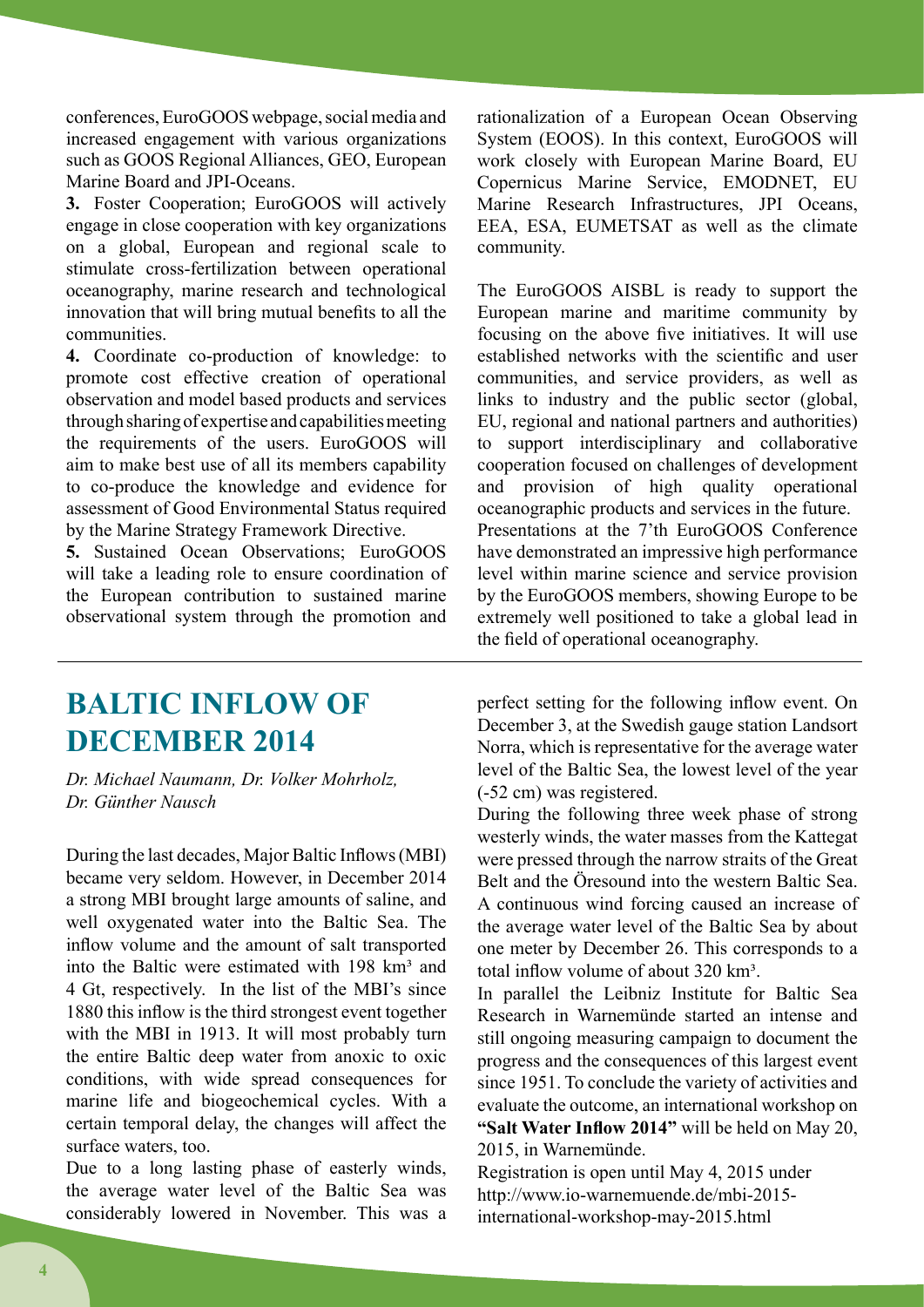conferences, EuroGOOS webpage, social media and increased engagement with various organizations such as GOOS Regional Alliances, GEO, European Marine Board and JPI-Oceans.

**3.** Foster Cooperation; EuroGOOS will actively engage in close cooperation with key organizations on a global, European and regional scale to stimulate cross-fertilization between operational oceanography, marine research and technological innovation that will bring mutual benefits to all the communities.

**4.** Coordinate co-production of knowledge: to promote cost effective creation of operational observation and model based products and services through sharing of expertise and capabilities meeting the requirements of the users. EuroGOOS will aim to make best use of all its members capability to co-produce the knowledge and evidence for assessment of Good Environmental Status required by the Marine Strategy Framework Directive.

**5.** Sustained Ocean Observations; EuroGOOS will take a leading role to ensure coordination of the European contribution to sustained marine observational system through the promotion and

rationalization of a European Ocean Observing System (EOOS). In this context, EuroGOOS will work closely with European Marine Board, EU Copernicus Marine Service, EMODNET, EU Marine Research Infrastructures, JPI Oceans, EEA, ESA, EUMETSAT as well as the climate community.

The EuroGOOS AISBL is ready to support the European marine and maritime community by focusing on the above five initiatives. It will use established networks with the scientific and user communities, and service providers, as well as links to industry and the public sector (global, EU, regional and national partners and authorities) to support interdisciplinary and collaborative cooperation focused on challenges of development and provision of high quality operational oceanographic products and services in the future. Presentations at the 7'th EuroGOOS Conference have demonstrated an impressive high performance level within marine science and service provision by the EuroGOOS members, showing Europe to be extremely well positioned to take a global lead in the field of operational oceanography.

### **Baltic inflow of DECEMBER 2014**

*Dr. Michael Naumann, Dr. Volker Mohrholz, Dr. Günther Nausch*

During the last decades, Major Baltic Inflows (MBI) became very seldom. However, in December 2014 a strong MBI brought large amounts of saline, and well oxygenated water into the Baltic Sea. The inflow volume and the amount of salt transported into the Baltic were estimated with  $198 \text{ km}^3$  and 4 Gt, respectively. In the list of the MBI's since 1880 this inflow is the third strongest event together with the MBI in 1913. It will most probably turn the entire Baltic deep water from anoxic to oxic conditions, with wide spread consequences for marine life and biogeochemical cycles. With a certain temporal delay, the changes will affect the surface waters, too.

Due to a long lasting phase of easterly winds, the average water level of the Baltic Sea was considerably lowered in November. This was a

perfect setting for the following inflow event. On December 3, at the Swedish gauge station Landsort Norra, which is representative for the average water level of the Baltic Sea, the lowest level of the year (-52 cm) was registered.

During the following three week phase of strong westerly winds, the water masses from the Kattegat were pressed through the narrow straits of the Great Belt and the Öresound into the western Baltic Sea. A continuous wind forcing caused an increase of the average water level of the Baltic Sea by about one meter by December 26. This corresponds to a total inflow volume of about 320 km<sup>3</sup>.

In parallel the Leibniz Institute for Baltic Sea Research in Warnemünde started an intense and still ongoing measuring campaign to document the progress and the consequences of this largest event since 1951. To conclude the variety of activities and evaluate the outcome, an international workshop on **"Salt Water Inflow 2014"** will be held on May 20, 2015 in Warnemünde.

Registration is open until May 4, 2015 under http://www.io-warnemuende.de/mbi-2015 international-workshop-may-2015.html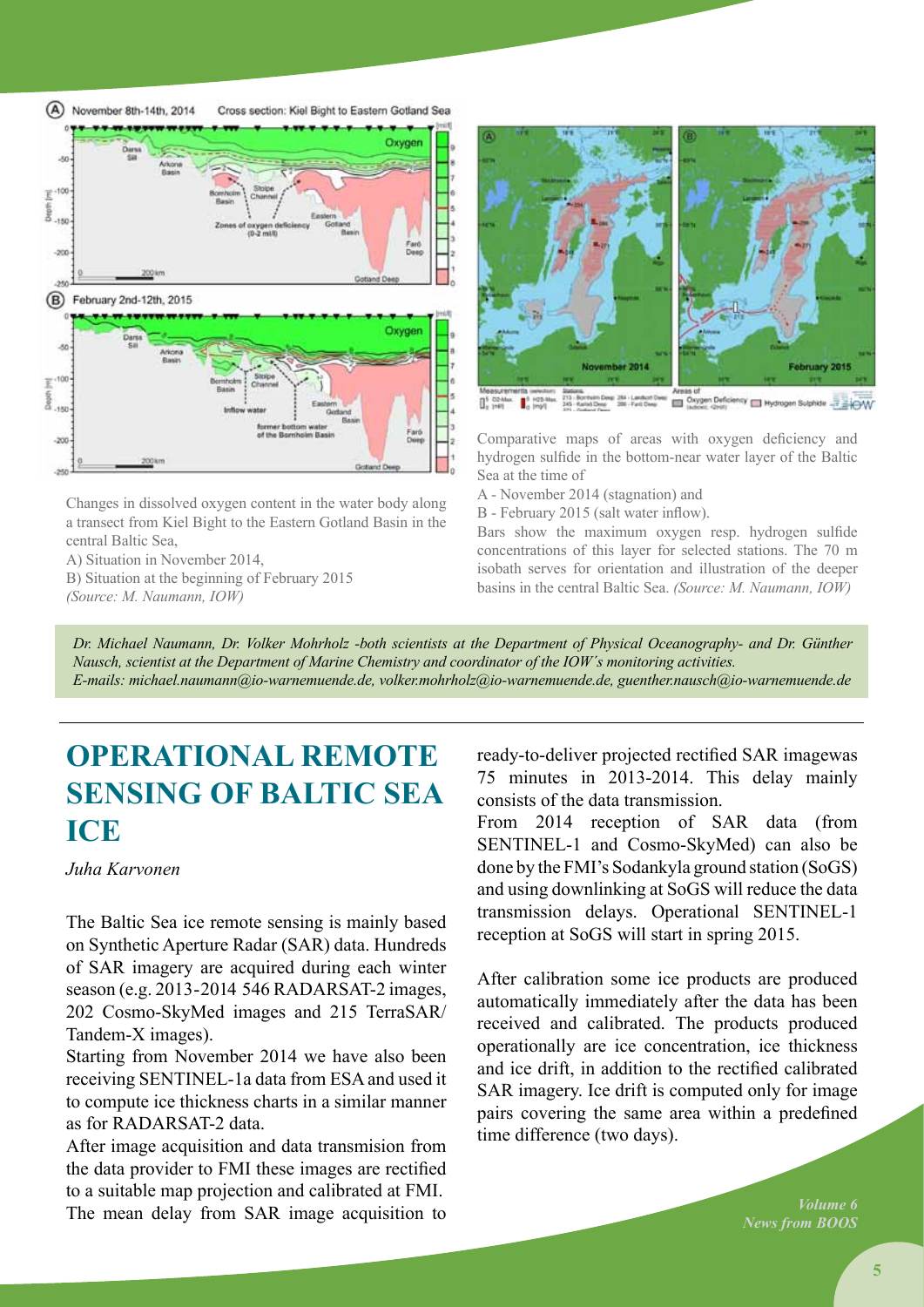

Changes in dissolved oxygen content in the water body along a transect from Kiel Bight to the Eastern Gotland Basin in the central Baltic Sea,

A) Situation in November 2014,

B) Situation at the beginning of February 2015

*(Source: M. Naumann, IOW)*



**Chang** gen Sulphide - FigWV <sup>10</sup> I Hyd

Comparative maps of areas with oxygen deficiency and hydrogen sulfide in the bottom-near water layer of the Baltic Sea at the time of

A - November 2014 (stagnation) and

B - February 2015 (salt water inflow).

Bars show the maximum oxygen resp. hydrogen sulfide concentrations of this layer for selected stations. The 70 m isobath serves for orientation and illustration of the deeper basins in the central Baltic Sea. *(Source: M. Naumann, IOW)*

*Dr. Michael Naumann, Dr. Volker Mohrholz -both scientists at the Department of Physical Oceanography- and Dr. Günther Nausch, scientist at the Department of Marine Chemistry and coordinator of the IOW´s monitoring activities. E-mails: michael.naumann@io-warnemuende.de, volker.mohrholz@io-warnemuende.de, guenther.nausch@io-warnemuende.de*

### **OPERATIONAL REMOTE SENSING OF BALTIC SEA ICE**

*Juha Karvonen* 

The Baltic Sea ice remote sensing is mainly based on Synthetic Aperture Radar (SAR) data. Hundreds of SAR imagery are acquired during each winter season (e.g. 2013-2014 546 RADARSAT-2 images, 202 Cosmo-SkyMed images and 215 TerraSAR/ Tandem-X images).

Starting from November 2014 we have also been receiving SENTINEL-1a data from ESA and used it to compute ice thickness charts in a similar manner as for RADARSAT-2 data.

After image acquisition and data transmision from the data provider to FMI these images are rectified to a suitable map projection and calibrated at FMI. The mean delay from SAR image acquisition to

ready-to-deliver projected rectified SAR imagewas 75 minutes in 2013-2014. This delay mainly consists of the data transmission.

From 2014 reception of SAR data (from SENTINEL-1 and Cosmo-SkyMed) can also be done by the FMI's Sodankyla ground station (SoGS) and using downlinking at SoGS will reduce the data transmission delays. Operational SENTINEL-1 reception at SoGS will start in spring 2015.

After calibration some ice products are produced automatically immediately after the data has been received and calibrated. The products produced operationally are ice concentration, ice thickness and ice drift, in addition to the rectified calibrated SAR imagery. Ice drift is computed only for image pairs covering the same area within a predefined time difference (two days).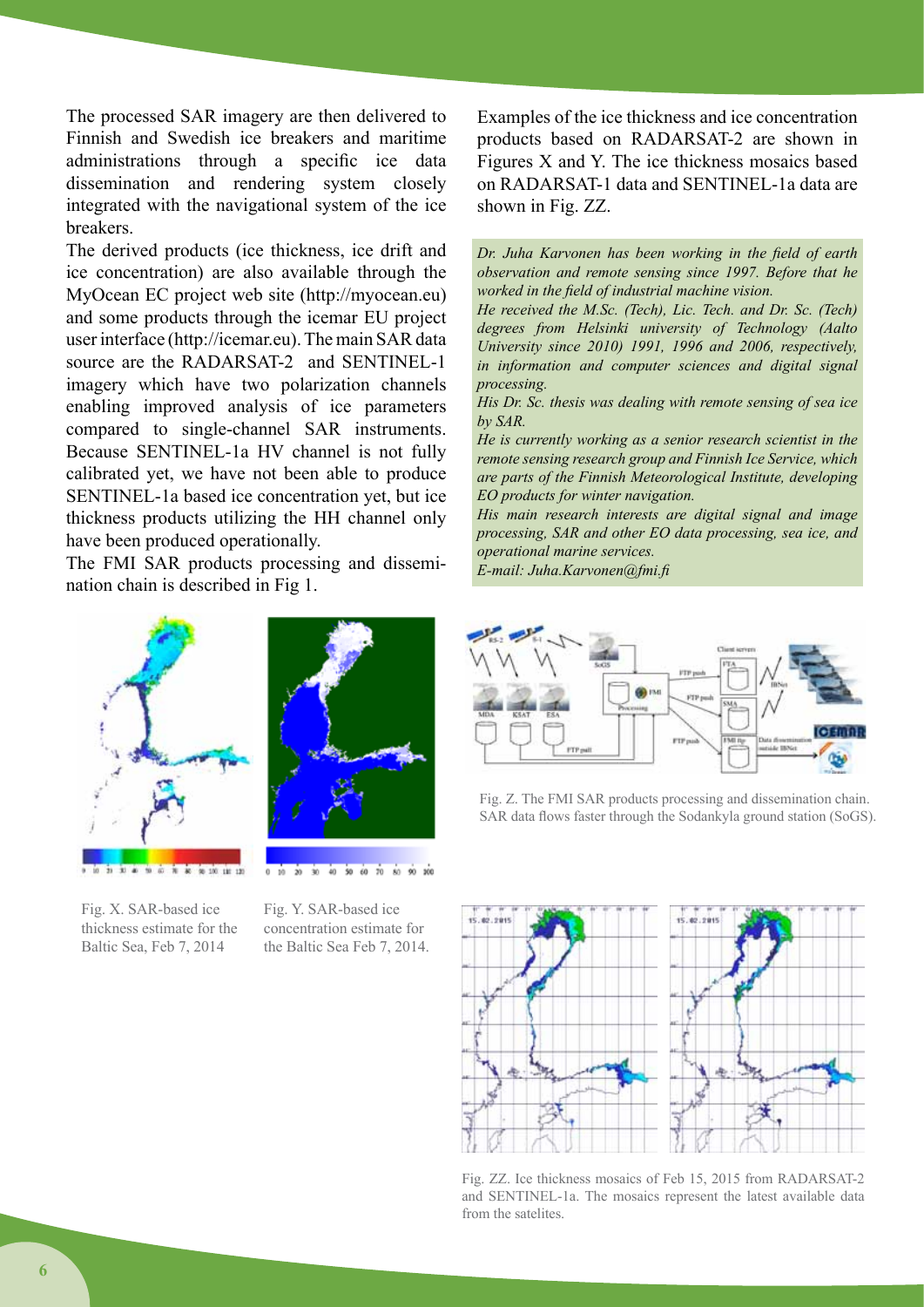The processed SAR imagery are then delivered to Finnish and Swedish ice breakers and maritime administrations through a specific ice data dissemination and rendering system closely integrated with the navigational system of the ice breakers.

The derived products (ice thickness, ice drift and ice concentration) are also available through the MyOcean EC project web site (http://myocean.eu) and some products through the icemar EU project user interface (http://icemar.eu). The main SAR data source are the RADARSAT-2 and SENTINEL-1 imagery which have two polarization channels enabling improved analysis of ice parameters compared to single-channel SAR instruments. Because SENTINEL-1a HV channel is not fully calibrated yet, we have not been able to produce SENTINEL-1a based ice concentration yet, but ice thickness products utilizing the HH channel only have been produced operationally.

The FMI SAR products processing and dissemination chain is described in Fig 1.





Fig. X. SAR-based ice thickness estimate for the

Baltic Sea, Feb 7, 2014

Fig. Y. SAR-based ice concentration estimate for the Baltic Sea Feb 7, 2014.

30 40 50 60 70

 $\dot{v}$ 

Examples of the ice thickness and ice concentration products based on RADARSAT-2 are shown in Figures X and Y. The ice thickness mosaics based on RADARSAT-1 data and SENTINEL-1a data are shown in Fig. ZZ.

*Dr. Juha Karvonen has been working in the field of earth observation and remote sensing since 1997. Before that he worked in the field of industrial machine vision.*

*He received the M.Sc. (Tech), Lic. Tech. and Dr. Sc. (Tech) degrees from Helsinki university of Technology (Aalto University since 2010) 1991, 1996 and 2006, respectively, in information and computer sciences and digital signal processing.*

*His Dr. Sc. thesis was dealing with remote sensing of sea ice by SAR.*

*He is currently working as a senior research scientist in the remote sensing research group and Finnish Ice Service, which are parts of the Finnish Meteorological Institute, developing EO products for winter navigation.*

*His main research interests are digital signal and image processing, SAR and other EO data processing, sea ice, and operational marine services.*

*E-mail: Juha.Karvonen@fmi.fi*



Fig. Z. The FMI SAR products processing and dissemination chain. SAR data flows faster through the Sodankyla ground station (SoGS).



Fig. ZZ. Ice thickness mosaics of Feb 15, 2015 from RADARSAT-2 and SENTINEL-1a. The mosaics represent the latest available data from the satelites.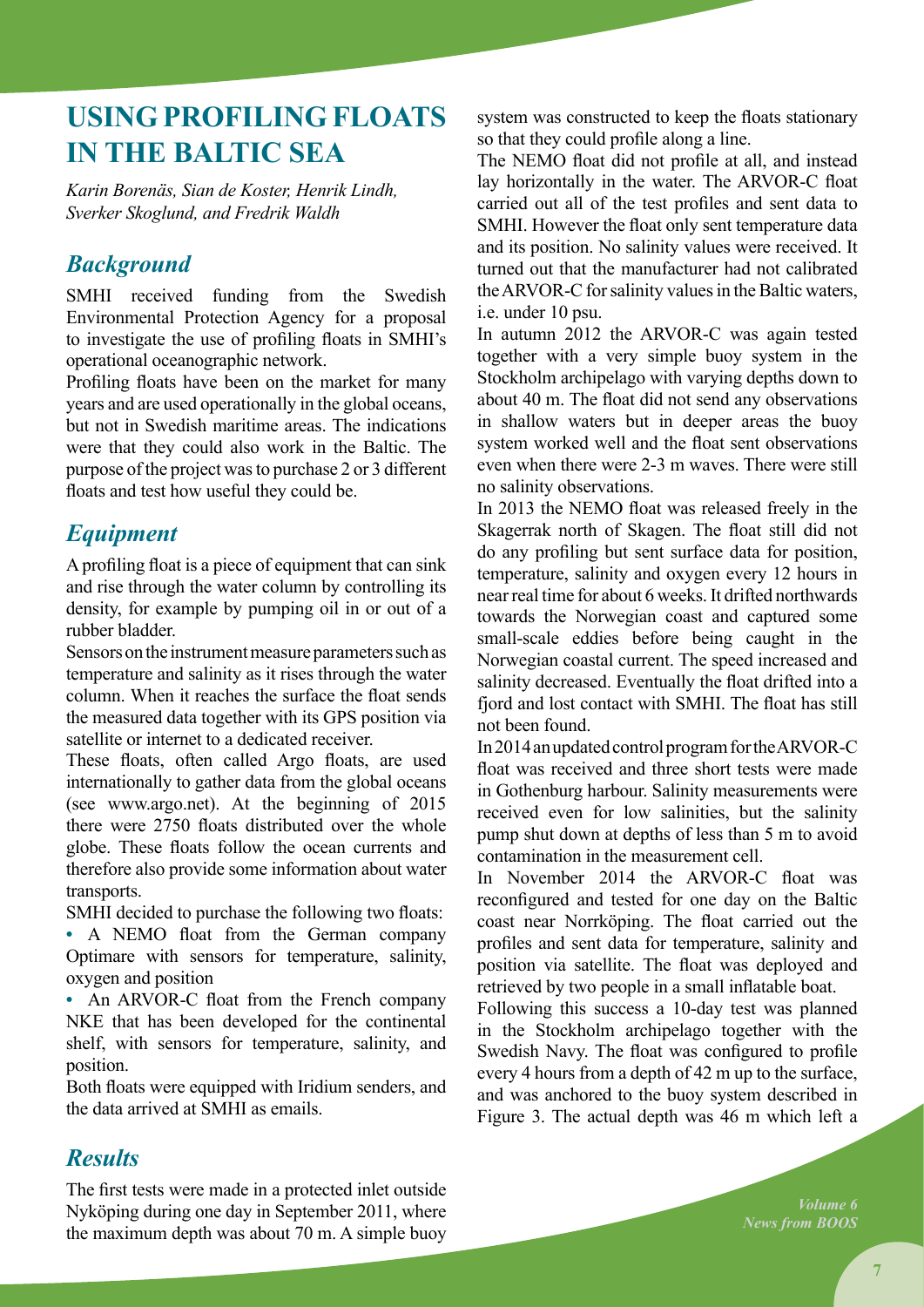### **Using profiling floats in the Baltic Sea**

*Karin Borenäs, Sian de Koster, Henrik Lindh, Sverker Skoglund, and Fredrik Waldh* 

### *Background*

SMHI received funding from the Swedish Environmental Protection Agency for a proposal to investigate the use of profiling floats in SMHI's operational oceanographic network.

Profiling floats have been on the market for many years and are used operationally in the global oceans, but not in Swedish maritime areas. The indications were that they could also work in the Baltic. The purpose of the project was to purchase 2 or 3 different floats and test how useful they could be.

### *Equipment*

A profiling float is a piece of equipment that can sink and rise through the water column by controlling its density, for example by pumping oil in or out of a rubber bladder.

Sensors on the instrument measure parameters such as temperature and salinity as it rises through the water column. When it reaches the surface the float sends the measured data together with its GPS position via satellite or internet to a dedicated receiver.

These floats, often called Argo floats, are used internationally to gather data from the global oceans (see www.argo.net). At the beginning of 2015 there were 2750 floats distributed over the whole globe. These floats follow the ocean currents and therefore also provide some information about water transports.

SMHI decided to purchase the following two floats:

**•** A NEMO float from the German company Optimare with sensors for temperature, salinity, oxygen and position

• An ARVOR-C float from the French company NKE that has been developed for the continental shelf, with sensors for temperature, salinity, and position.

Both floats were equipped with Iridium senders, and the data arrived at SMHI as emails.

system was constructed to keep the floats stationary so that they could profile along a line.

The NEMO float did not profile at all, and instead lay horizontally in the water. The ARVOR-C float carried out all of the test profiles and sent data to SMHI. However the float only sent temperature data and its position. No salinity values were received. It turned out that the manufacturer had not calibrated the ARVOR-C for salinity values in the Baltic waters, i.e. under 10 psu.

In autumn 2012 the ARVOR-C was again tested together with a very simple buoy system in the Stockholm archipelago with varying depths down to about 40 m. The float did not send any observations in shallow waters but in deeper areas the buoy system worked well and the float sent observations even when there were 2-3 m waves. There were still no salinity observations.

In 2013 the NEMO float was released freely in the Skagerrak north of Skagen. The float still did not do any profiling but sent surface data for position, temperature, salinity and oxygen every 12 hours in near real time for about 6 weeks. It drifted northwards towards the Norwegian coast and captured some small-scale eddies before being caught in the Norwegian coastal current. The speed increased and salinity decreased. Eventually the float drifted into a fjord and lost contact with SMHI. The float has still not been found.

In 2014 an updated control program for the ARVOR-C float was received and three short tests were made in Gothenburg harbour. Salinity measurements were received even for low salinities, but the salinity pump shut down at depths of less than 5 m to avoid contamination in the measurement cell.

In November 2014 the ARVOR-C float was reconfigured and tested for one day on the Baltic coast near Norrköping. The float carried out the profiles and sent data for temperature, salinity and position via satellite. The float was deployed and retrieved by two people in a small inflatable boat.

Following this success a 10-day test was planned in the Stockholm archipelago together with the Swedish Navy. The float was configured to profile every 4 hours from a depth of 42 m up to the surface, and was anchored to the buoy system described in Figure 3. The actual depth was 46 m which left a

#### *Results*

The first tests were made in a protected inlet outside Nyköping during one day in September 2011, where the maximum depth was about 70 m. A simple buoy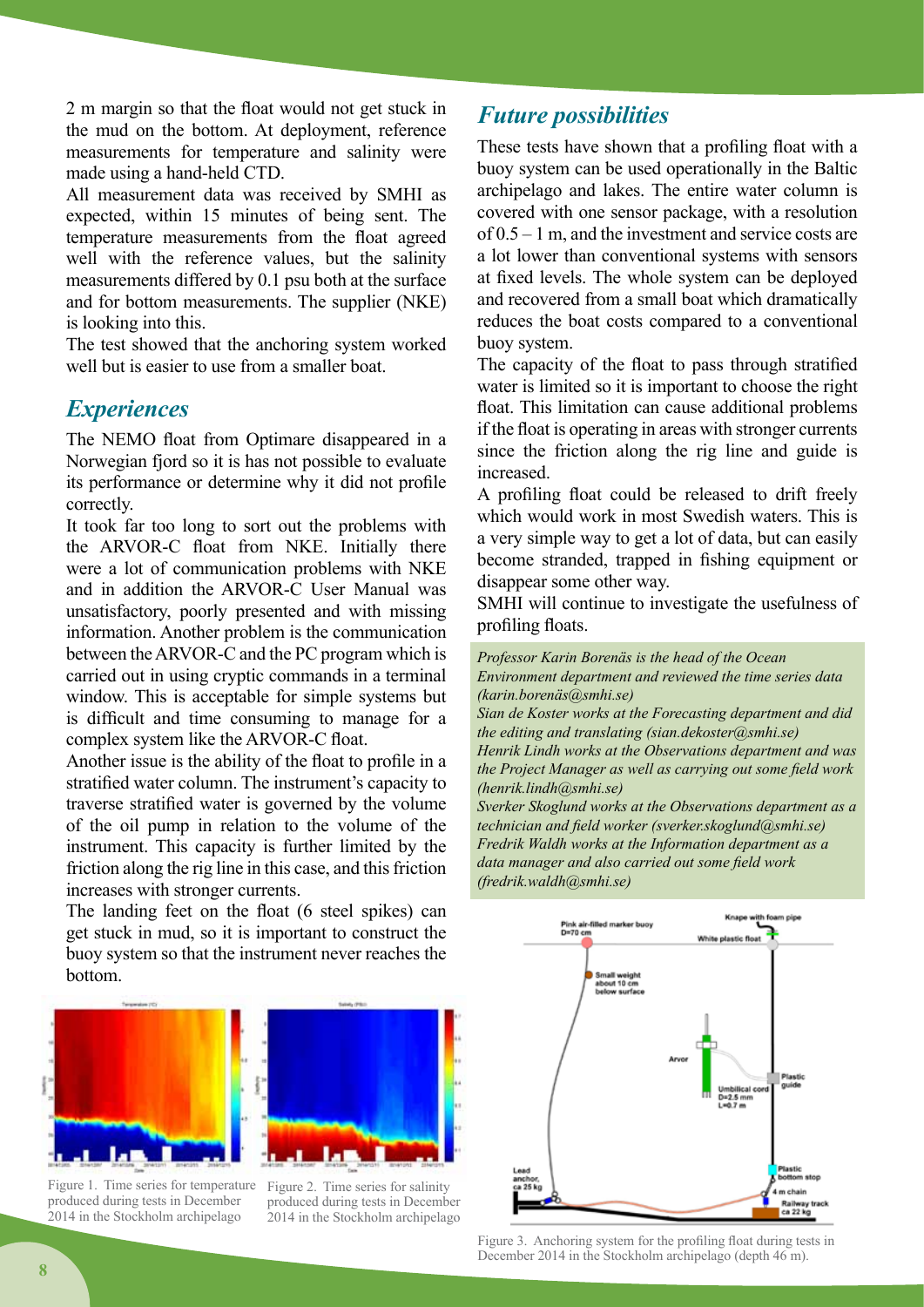2 m margin so that the float would not get stuck in the mud on the bottom. At deployment, reference measurements for temperature and salinity were made using a hand-held CTD.

All measurement data was received by SMHI as expected, within 15 minutes of being sent. The temperature measurements from the float agreed well with the reference values, but the salinity measurements differed by 0.1 psu both at the surface and for bottom measurements. The supplier (NKE) is looking into this.

The test showed that the anchoring system worked well but is easier to use from a smaller boat.

#### *Experiences*

The NEMO float from Optimare disappeared in a Norwegian fjord so it is has not possible to evaluate its performance or determine why it did not profile correctly.

It took far too long to sort out the problems with the ARVOR-C float from NKE. Initially there were a lot of communication problems with NKE and in addition the ARVOR-C User Manual was unsatisfactory, poorly presented and with missing information. Another problem is the communication between the ARVOR-C and the PC program which is carried out in using cryptic commands in a terminal window. This is acceptable for simple systems but is difficult and time consuming to manage for a complex system like the ARVOR-C float.

Another issue is the ability of the float to profile in a stratified water column. The instrument's capacity to traverse stratified water is governed by the volume of the oil pump in relation to the volume of the instrument. This capacity is further limited by the friction along the rig line in this case, and this friction increases with stronger currents.

The landing feet on the float (6 steel spikes) can get stuck in mud, so it is important to construct the buoy system so that the instrument never reaches the bottom.



Figure 1. Time series for temperature Figure 2. Time series for salinity produced during tests in December 2014 in the Stockholm archipelago



produced during tests in December 2014 in the Stockholm archipelago

### *Future possibilities*

These tests have shown that a profiling float with a buoy system can be used operationally in the Baltic archipelago and lakes. The entire water column is covered with one sensor package, with a resolution of 0.5 – 1 m, and the investment and service costs are a lot lower than conventional systems with sensors at fixed levels. The whole system can be deployed and recovered from a small boat which dramatically reduces the boat costs compared to a conventional buoy system.

The capacity of the float to pass through stratified water is limited so it is important to choose the right float. This limitation can cause additional problems if the float is operating in areas with stronger currents since the friction along the rig line and guide is increased.

A profiling float could be released to drift freely which would work in most Swedish waters. This is a very simple way to get a lot of data, but can easily become stranded, trapped in fishing equipment or disappear some other way.

SMHI will continue to investigate the usefulness of profiling floats.

*Professor Karin Borenäs is the head of the Ocean Environment department and reviewed the time series data (karin.borenäs@smhi.se)*

*Sian de Koster works at the Forecasting department and did the editing and translating (sian.dekoster@smhi.se)*

*Henrik Lindh works at the Observations department and was the Project Manager as well as carrying out some field work (henrik.lindh@smhi.se)*

*Sverker Skoglund works at the Observations department as a technician and field worker (sverker.skoglund@smhi.se) Fredrik Waldh works at the Information department as a data manager and also carried out some field work (fredrik.waldh@smhi.se)*



Figure 3. Anchoring system for the profiling float during tests in December 2014 in the Stockholm archipelago (depth 46 m).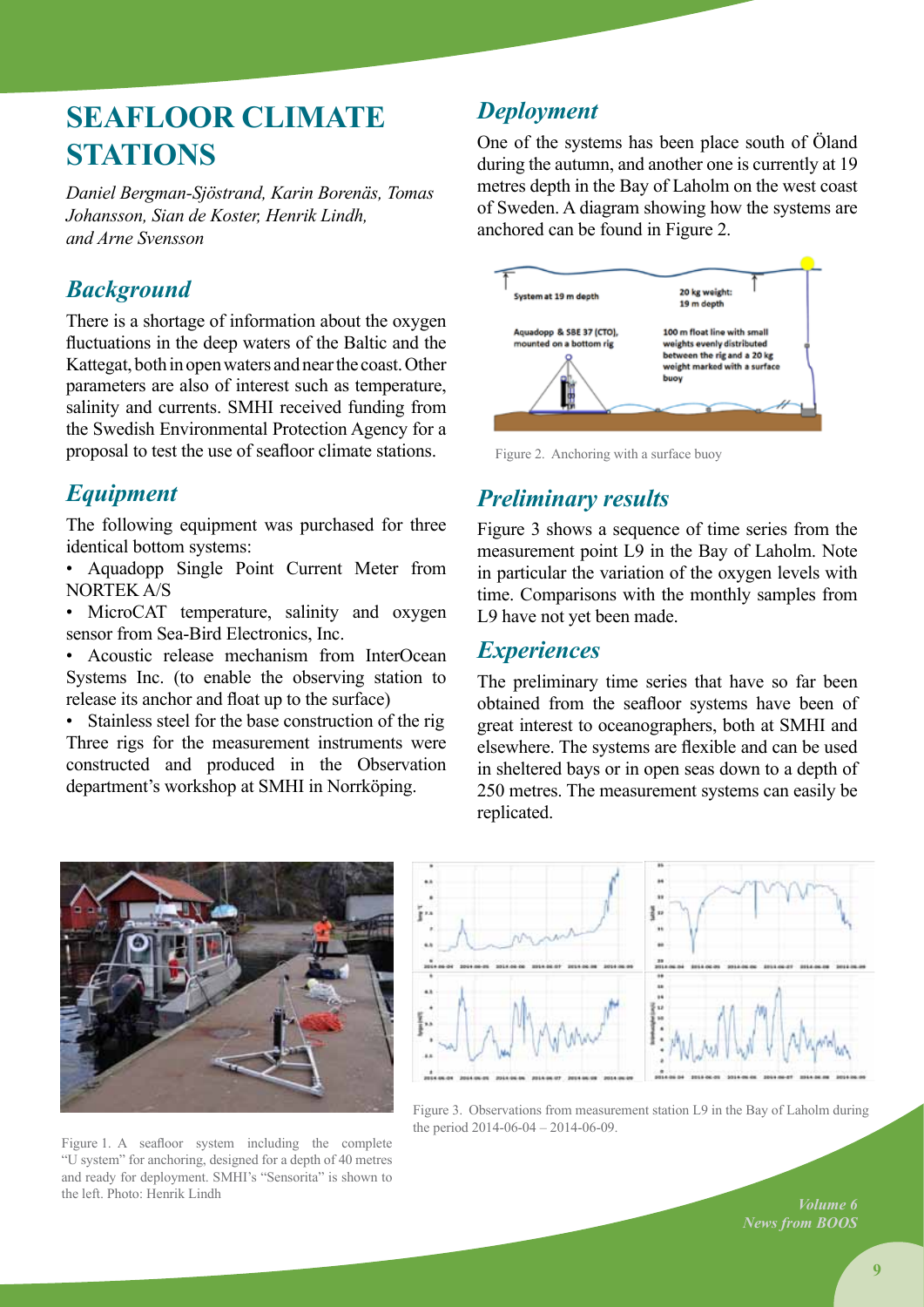### **Seafloor climate sTATIONS**

*Daniel Bergman-Sjöstrand, Karin Borenäs, Tomas Johansson, Sian de Koster, Henrik Lindh, and Arne Svensson*

### *Background*

There is a shortage of information about the oxygen fluctuations in the deep waters of the Baltic and the Kattegat, both in open waters and near the coast. Other parameters are also of interest such as temperature, salinity and currents. SMHI received funding from the Swedish Environmental Protection Agency for a proposal to test the use of seafloor climate stations.

### *Equipment*

The following equipment was purchased for three identical bottom systems:

- Aquadopp Single Point Current Meter from NORTEK A/S
- MicroCAT temperature, salinity and oxygen sensor from Sea-Bird Electronics, Inc.

• Acoustic release mechanism from InterOcean Systems Inc. (to enable the observing station to release its anchor and float up to the surface)

• Stainless steel for the base construction of the rig Three rigs for the measurement instruments were constructed and produced in the Observation department's workshop at SMHI in Norrköping.

### *Deployment*

One of the systems has been place south of Öland during the autumn, and another one is currently at 19 metres depth in the Bay of Laholm on the west coast of Sweden. A diagram showing how the systems are anchored can be found in Figure 2.



Figure 2. Anchoring with a surface buoy

### *Preliminary results*

Figure 3 shows a sequence of time series from the measurement point L9 in the Bay of Laholm. Note in particular the variation of the oxygen levels with time. Comparisons with the monthly samples from L9 have not yet been made.

#### *Experiences*

The preliminary time series that have so far been obtained from the seafloor systems have been of great interest to oceanographers, both at SMHI and elsewhere. The systems are flexible and can be used in sheltered bays or in open seas down to a depth of 250 metres. The measurement systems can easily be replicated.



Figure 1. A seafloor system including the complete "U system" for anchoring, designed for a depth of 40 metres and ready for deployment. SMHI's "Sensorita" is shown to the left. Photo: Henrik Lindh



Figure 3. Observations from measurement station L9 in the Bay of Laholm during the period 2014-06-04 – 2014-06-09.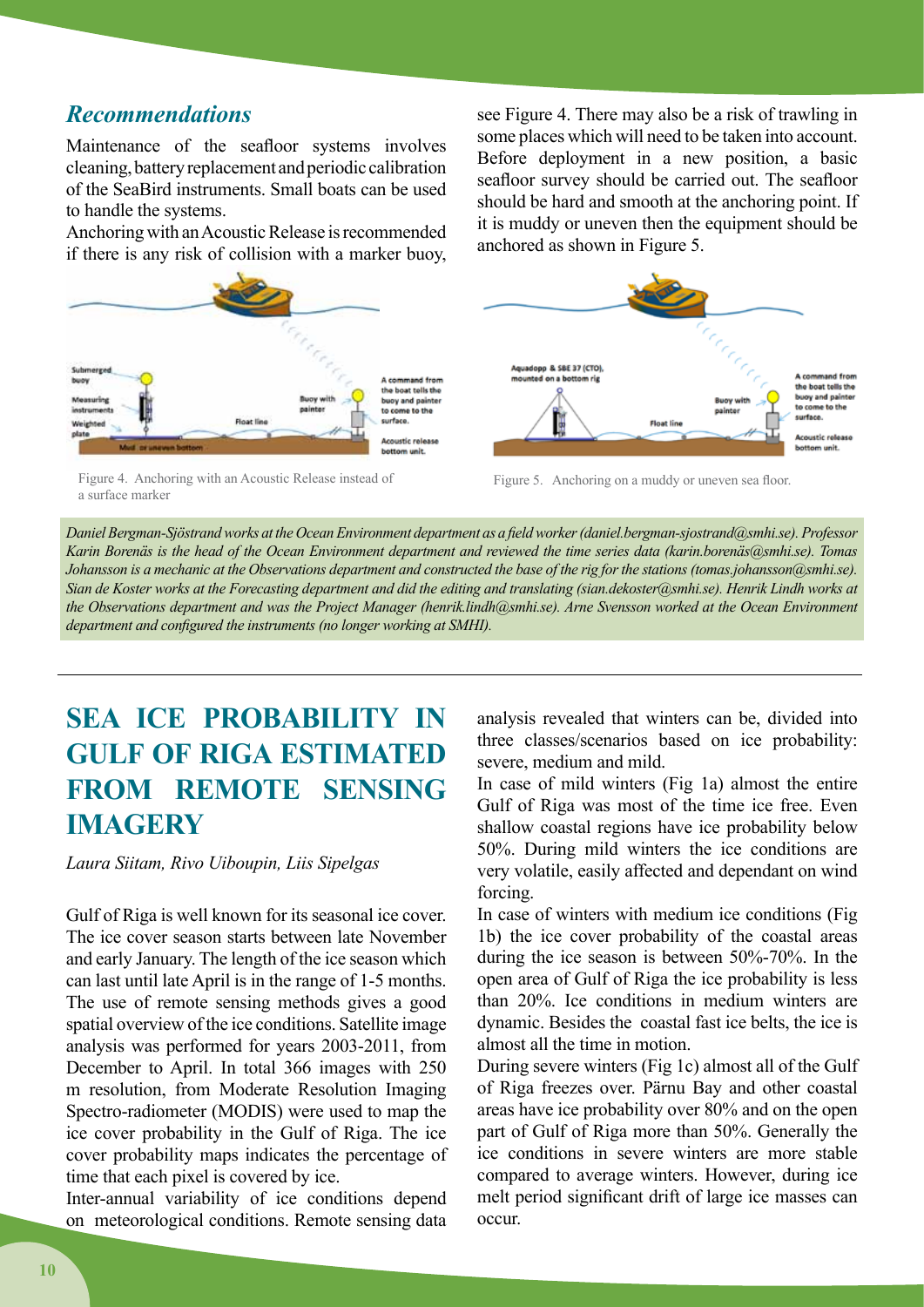#### *Recommendations*

Maintenance of the seafloor systems involves cleaning, battery replacement and periodic calibration of the SeaBird instruments. Small boats can be used to handle the systems.

Anchoring with an Acoustic Release is recommended if there is any risk of collision with a marker buoy,



Figure 4. Anchoring with an Acoustic Release instead of a surface marker

see Figure 4. There may also be a risk of trawling in some places which will need to be taken into account. Before deployment in a new position, a basic seafloor survey should be carried out. The seafloor should be hard and smooth at the anchoring point. If it is muddy or uneven then the equipment should be anchored as shown in Figure 5.



Figure 5. Anchoring on a muddy or uneven sea floor.

*Daniel Bergman-Sjöstrand works at the Ocean Environment department as a field worker (daniel.bergman-sjostrand@smhi.se). Professor*  Karin Borenäs is the head of the Ocean Environment department and reviewed the time series data (karin.borenäs@smhi.se). Tomas *Johansson is a mechanic at the Observations department and constructed the base of the rig for the stations (tomas.johansson@smhi.se). Sian de Koster works at the Forecasting department and did the editing and translating (sian.dekoster@smhi.se). Henrik Lindh works at the Observations department and was the Project Manager (henrik.lindh@smhi.se). Arne Svensson worked at the Ocean Environment department and configured the instruments (no longer working at SMHI).*

### **SEA ICE PROBABILITY IN GULF OF RIGA ESTIMATED FROM REMOTE SENSING IMAGERY**

*Laura Siitam, Rivo Uiboupin, Liis Sipelgas*

Gulf of Riga is well known for its seasonal ice cover. The ice cover season starts between late November and early January. The length of the ice season which can last until late April is in the range of 1-5 months. The use of remote sensing methods gives a good spatial overview of the ice conditions. Satellite image analysis was performed for years 2003-2011, from December to April. In total 366 images with 250 m resolution, from Moderate Resolution Imaging Spectro-radiometer (MODIS) were used to map the ice cover probability in the Gulf of Riga. The ice cover probability maps indicates the percentage of time that each pixel is covered by ice.

Inter-annual variability of ice conditions depend on meteorological conditions. Remote sensing data analysis revealed that winters can be, divided into three classes/scenarios based on ice probability: severe, medium and mild.

In case of mild winters (Fig 1a) almost the entire Gulf of Riga was most of the time ice free. Even shallow coastal regions have ice probability below 50%. During mild winters the ice conditions are very volatile, easily affected and dependant on wind forcing.

In case of winters with medium ice conditions (Fig 1b) the ice cover probability of the coastal areas during the ice season is between 50%-70%. In the open area of Gulf of Riga the ice probability is less than 20%. Ice conditions in medium winters are dynamic. Besides the coastal fast ice belts, the ice is almost all the time in motion.

During severe winters (Fig 1c) almost all of the Gulf of Riga freezes over. Pärnu Bay and other coastal areas have ice probability over 80% and on the open part of Gulf of Riga more than 50%. Generally the ice conditions in severe winters are more stable compared to average winters. However, during ice melt period significant drift of large ice masses can occur.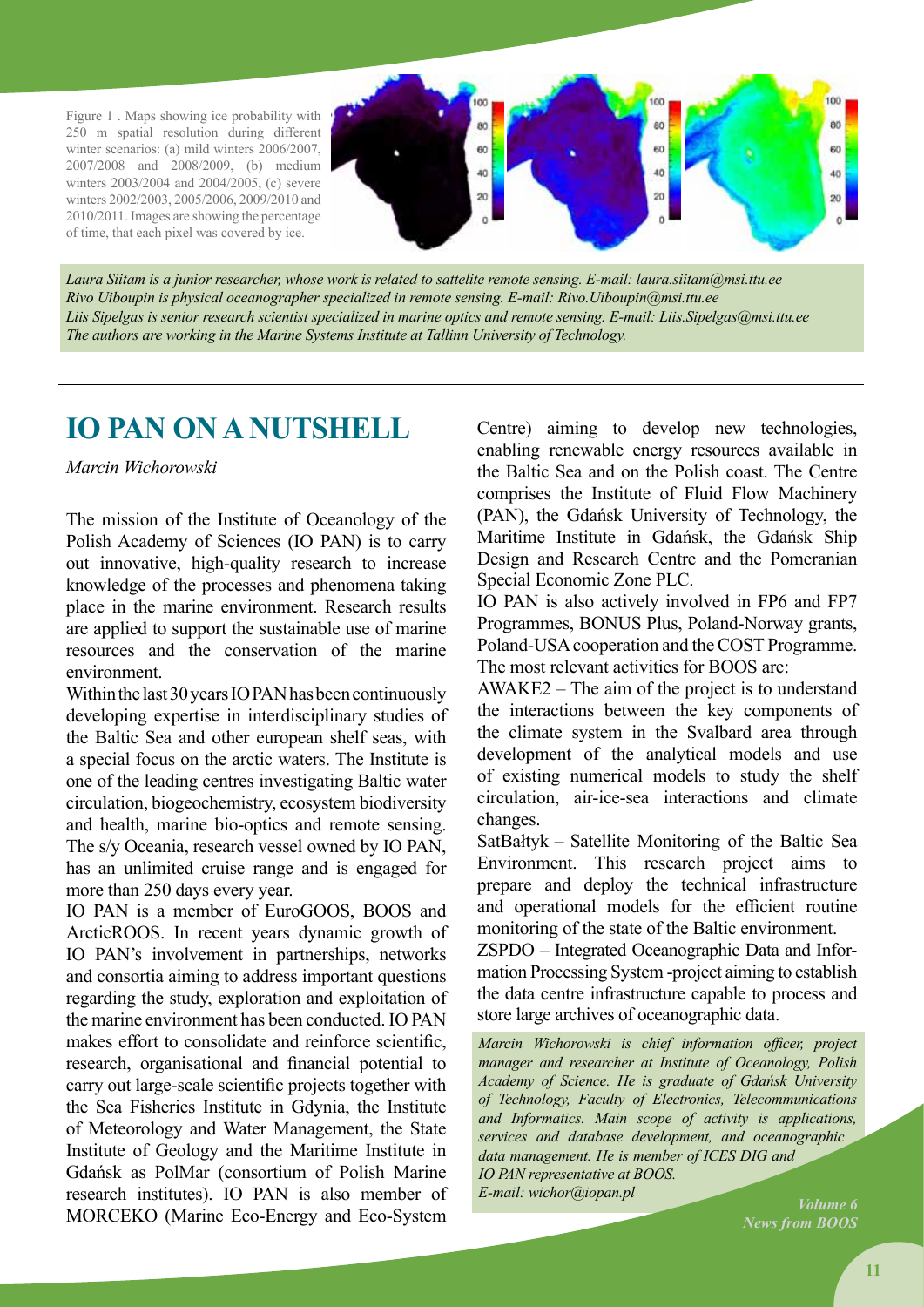Figure 1 . Maps showing ice probability with 250 m spatial resolution during different winter scenarios: (a) mild winters 2006/2007, 2007/2008 and 2008/2009, (b) medium winters 2003/2004 and 2004/2005, (c) severe winters 2002/2003, 2005/2006, 2009/2010 and 2010/2011. Images are showing the percentage of time, that each pixel was covered by ice.



*Laura Siitam is a junior researcher, whose work is related to sattelite remote sensing. E-mail: laura.siitam@msi.ttu.ee Rivo Uiboupin is physical oceanographer specialized in remote sensing. E-mail: Rivo.Uiboupin@msi.ttu.ee Liis Sipelgas is senior research scientist specialized in marine optics and remote sensing. E-mail: Liis.Sipelgas@msi.ttu.ee The authors are working in the Marine Systems Institute at Tallinn University of Technology.*

### **IO PAN on a nutshell**

#### *Marcin Wichorowski*

The mission of the Institute of Oceanology of the Polish Academy of Sciences (IO PAN) is to carry out innovative, high-quality research to increase knowledge of the processes and phenomena taking place in the marine environment. Research results are applied to support the sustainable use of marine resources and the conservation of the marine environment.

Within the last 30 years IO PAN has been continuously developing expertise in interdisciplinary studies of the Baltic Sea and other european shelf seas, with a special focus on the arctic waters. The Institute is one of the leading centres investigating Baltic water circulation, biogeochemistry, ecosystem biodiversity and health, marine bio-optics and remote sensing. The s/y Oceania, research vessel owned by IO PAN, has an unlimited cruise range and is engaged for more than 250 days every year.

IO PAN is a member of EuroGOOS, BOOS and ArcticROOS. In recent years dynamic growth of IO PAN's involvement in partnerships, networks and consortia aiming to address important questions regarding the study, exploration and exploitation of the marine environment has been conducted. IO PAN makes effort to consolidate and reinforce scientific, research, organisational and financial potential to carry out large-scale scientific projects together with the Sea Fisheries Institute in Gdynia, the Institute of Meteorology and Water Management, the State Institute of Geology and the Maritime Institute in Gdańsk as PolMar (consortium of Polish Marine research institutes). IO PAN is also member of MORCEKO (Marine Eco-Energy and Eco-System

Centre) aiming to develop new technologies, enabling renewable energy resources available in the Baltic Sea and on the Polish coast. The Centre comprises the Institute of Fluid Flow Machinery (PAN), the Gdańsk University of Technology, the Maritime Institute in Gdańsk, the Gdańsk Ship Design and Research Centre and the Pomeranian Special Economic Zone PLC.

IO PAN is also actively involved in FP6 and FP7 Programmes, BONUS Plus, Poland-Norway grants, Poland-USA cooperation and the COST Programme. The most relevant activities for BOOS are:

AWAKE2 – The aim of the project is to understand the interactions between the key components of the climate system in the Svalbard area through development of the analytical models and use of existing numerical models to study the shelf circulation, air-ice-sea interactions and climate changes.

SatBałtyk – Satellite Monitoring of the Baltic Sea Environment. This research project aims to prepare and deploy the technical infrastructure and operational models for the efficient routine monitoring of the state of the Baltic environment.

ZSPDO – Integrated Oceanographic Data and Information Processing System -project aiming to establish the data centre infrastructure capable to process and store large archives of oceanographic data.

*Marcin Wichorowski is chief information officer, project manager and researcher at Institute of Oceanology, Polish Academy of Science. He is graduate of Gdańsk University of Technology, Faculty of Electronics, Telecommunications and Informatics. Main scope of activity is applications, services and database development, and oceanographic data management. He is member of ICES DIG and IO PAN representative at BOOS. E-mail: wichor@iopan.pl*